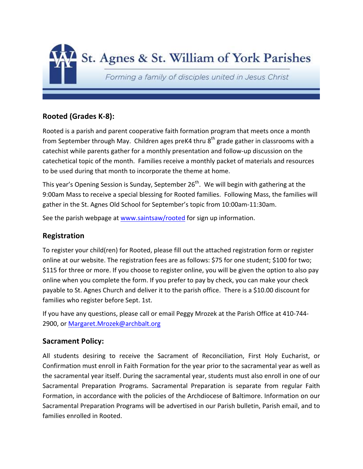

#### **Rooted (Grades K-8):**

Rooted is a parish and parent cooperative faith formation program that meets once a month from September through May. Children ages preK4 thru  $8<sup>th</sup>$  grade gather in classrooms with a catechist while parents gather for a monthly presentation and follow-up discussion on the catechetical topic of the month. Families receive a monthly packet of materials and resources to be used during that month to incorporate the theme at home.

This year's Opening Session is Sunday, September  $26<sup>th</sup>$ . We will begin with gathering at the 9:00am Mass to receive a special blessing for Rooted families. Following Mass, the families will gather in the St. Agnes Old School for September's topic from 10:00am-11:30am.

See the parish webpage at www.saintsaw/rooted for sign up information.

#### **Registration**

To register your child(ren) for Rooted, please fill out the attached registration form or register online at our website. The registration fees are as follows: \$75 for one student; \$100 for two; \$115 for three or more. If you choose to register online, you will be given the option to also pay online when you complete the form. If you prefer to pay by check, you can make your check payable to St. Agnes Church and deliver it to the parish office. There is a \$10.00 discount for families who register before Sept. 1st.

If you have any questions, please call or email Peggy Mrozek at the Parish Office at 410-744- 2900, or Margaret.Mrozek@archbalt.org

#### **Sacrament Policy:**

All students desiring to receive the Sacrament of Reconciliation, First Holy Eucharist, or Confirmation must enroll in Faith Formation for the year prior to the sacramental year as well as the sacramental year itself. During the sacramental year, students must also enroll in one of our Sacramental Preparation Programs. Sacramental Preparation is separate from regular Faith Formation, in accordance with the policies of the Archdiocese of Baltimore. Information on our Sacramental Preparation Programs will be advertised in our Parish bulletin, Parish email, and to families enrolled in Rooted.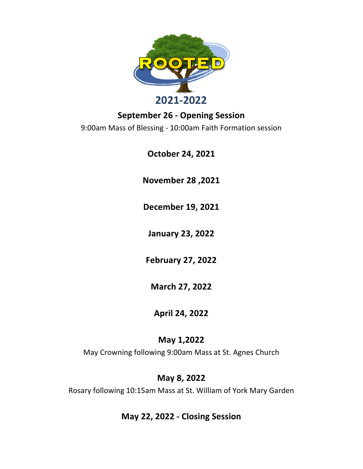

#### **September 26 - Opening Session**

9:00am Mass of Blessing - 10:00am Faith Formation session

**October 24, 2021**

**November 28 ,2021**

**December 19, 2021**

**January 23, 2022**

**February 27, 2022**

**March 27, 2022**

## **April 24, 2022**

## **May 1,2022**

May Crowning following 9:00am Mass at St. Agnes Church

## **May 8, 2022**

Rosary following 10:15am Mass at St. William of York Mary Garden

#### **May 22, 2022 - Closing Session**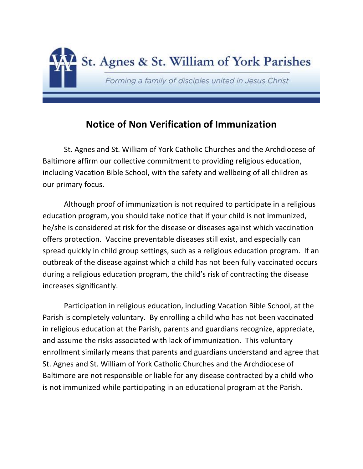

# **Notice of Non Verification of Immunization**

St. Agnes and St. William of York Catholic Churches and the Archdiocese of Baltimore affirm our collective commitment to providing religious education, including Vacation Bible School, with the safety and wellbeing of all children as our primary focus.

Although proof of immunization is not required to participate in a religious education program, you should take notice that if your child is not immunized, he/she is considered at risk for the disease or diseases against which vaccination offers protection. Vaccine preventable diseases still exist, and especially can spread quickly in child group settings, such as a religious education program. If an outbreak of the disease against which a child has not been fully vaccinated occurs during a religious education program, the child's risk of contracting the disease increases significantly.

Participation in religious education, including Vacation Bible School, at the Parish is completely voluntary. By enrolling a child who has not been vaccinated in religious education at the Parish, parents and guardians recognize, appreciate, and assume the risks associated with lack of immunization. This voluntary enrollment similarly means that parents and guardians understand and agree that St. Agnes and St. William of York Catholic Churches and the Archdiocese of Baltimore are not responsible or liable for any disease contracted by a child who is not immunized while participating in an educational program at the Parish.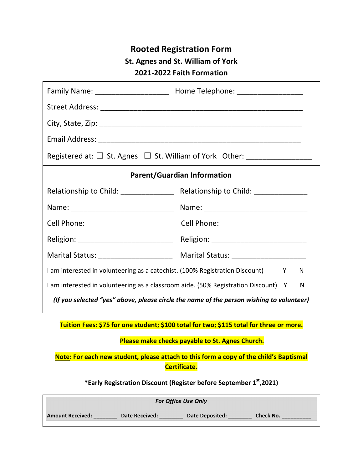## **Rooted Registration Form St. Agnes and St. William of York 2021-2022 Faith Formation**

|                                                                                         | Registered at: $\Box$ St. Agnes $\Box$ St. William of York Other: __________________     |  |  |  |
|-----------------------------------------------------------------------------------------|------------------------------------------------------------------------------------------|--|--|--|
|                                                                                         | <b>Parent/Guardian Information</b>                                                       |  |  |  |
|                                                                                         |                                                                                          |  |  |  |
|                                                                                         |                                                                                          |  |  |  |
|                                                                                         | Cell Phone: ___________________________________Cell Phone: _____________________         |  |  |  |
|                                                                                         |                                                                                          |  |  |  |
|                                                                                         |                                                                                          |  |  |  |
| I am interested in volunteering as a catechist. (100% Registration Discount) Y<br>N     |                                                                                          |  |  |  |
| I am interested in volunteering as a classroom aide. (50% Registration Discount) Y<br>N |                                                                                          |  |  |  |
|                                                                                         | (If you selected "yes" above, please circle the name of the person wishing to volunteer) |  |  |  |
|                                                                                         | Tuition Fees: \$75 for one student; \$100 total for two; \$115 total for three or more.  |  |  |  |
| Please make checks payable to St. Agnes Church.                                         |                                                                                          |  |  |  |
|                                                                                         | Note: For each new student, please attach to this form a copy of the child's Baptismal   |  |  |  |

**Certificate.**

**\*Early Registration Discount (Register before September 1st,2021)**

| <b>For Office Use Only</b> |                       |                 |                  |  |
|----------------------------|-----------------------|-----------------|------------------|--|
| <b>Amount Received:</b>    | <b>Date Received:</b> | Date Deposited: | <b>Check No.</b> |  |